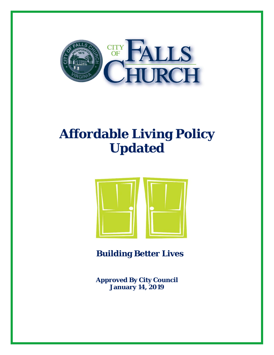

# **Affordable Living Policy Updated**



 **Building Better Lives** 

**Approved By City Council January 14, 2019**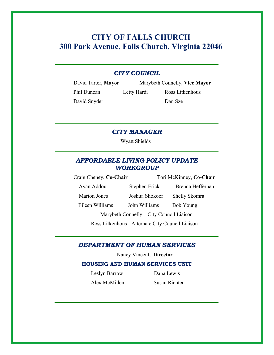# **CITY OF FALLS CHURCH 300 Park Avenue, Falls Church, Virginia 22046**

### *CITY COUNCIL*

David Snyder Dan Sze

David Tarter, **Mayor** Marybeth Connelly, **Vice Mayor** Phil Duncan Letty Hardi Ross Litkenhous

*CITY MANAGER* 

Wyatt Shields

### *AFFORDABLE LIVING POLICY UPDATE WORKGROUP*

Craig Cheney, **Co-Chair** Tori McKinney, **Co-Chair**  Ayan Addou Stephen Erick Brenda Heffernan Marion Jones Joshua Shokoor Shelly Skomra Eileen Williams John Williams Bob Young Marybeth Connelly – City Council Liaison

Ross Litkenhous - Alternate City Council Liaison

### *DEPARTMENT OF HUMAN SERVICES*

Nancy Vincent, **Director** 

#### **HOUSING AND HUMAN SERVICES UNIT**

Leslyn Barrow Dana Lewis

Alex McMillen Susan Richter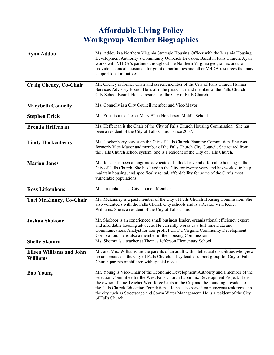# **Affordable Living Policy Workgroup Member Biographies**

| <b>Ayan Addou</b>                                  | Ms. Addou is a Northern Virginia Strategic Housing Officer with the Virginia Housing<br>Development Authority's Community Outreach Division. Based in Falls Church, Ayan<br>works with VHDA's partners throughout the Northern Virginia geographic area to<br>provide technical assistance for grant opportunities and other VHDA resources that may<br>support local initiatives.                                                                                 |
|----------------------------------------------------|--------------------------------------------------------------------------------------------------------------------------------------------------------------------------------------------------------------------------------------------------------------------------------------------------------------------------------------------------------------------------------------------------------------------------------------------------------------------|
| <b>Craig Cheney, Co-Chair</b>                      | Mr. Cheney is former Chair and current member of the City of Falls Church Human<br>Services Advisory Board. He is also the past Chair and member of the Falls Church<br>City School Board. He is a resident of the City of Falls Church.                                                                                                                                                                                                                           |
| <b>Marybeth Connelly</b>                           | Ms. Connelly is a City Council member and Vice-Mayor.                                                                                                                                                                                                                                                                                                                                                                                                              |
| <b>Stephen Erick</b>                               | Mr. Erick is a teacher at Mary Ellen Henderson Middle School.                                                                                                                                                                                                                                                                                                                                                                                                      |
| <b>Brenda Heffernan</b>                            | Ms. Heffernan is the Chair of the City of Falls Church Housing Commission. She has<br>been a resident of the City of Falls Church since 2007.                                                                                                                                                                                                                                                                                                                      |
| <b>Lindy Hockenberry</b>                           | Ms. Hockenberry serves on the City of Falls Church Planning Commission. She was<br>formerly Vice Mayor and member of the Falls Church City Council. She retired from<br>the Falls Church school system. She is a resident of the City of Falls Church.                                                                                                                                                                                                             |
| <b>Marion Jones</b>                                | Ms. Jones has been a longtime advocate of both elderly and affordable housing in the<br>City of Falls Church. She has lived in the City for twenty years and has worked to help<br>maintain housing, and specifically rental, affordability for some of the City's most<br>vulnerable populations.                                                                                                                                                                 |
| <b>Ross Litkenhous</b>                             | Mr. Litkenhous is a City Council Member.                                                                                                                                                                                                                                                                                                                                                                                                                           |
| <b>Tori McKinney, Co-Chair</b>                     | Ms. McKinney is a past member of the City of Falls Church Housing Commission. She<br>also volunteers with the Falls Church City schools and is a Realtor with Keller<br>Williams. She is a resident of the City of Falls Church.                                                                                                                                                                                                                                   |
| <b>Joshua Shokoor</b>                              | Mr. Shokoor is an experienced small business leader, organizational efficiency expert<br>and affordable housing advocate. He currently works as a full-time Data and<br>Communications Analyst for non-profit FCHC a Virginia Community Development<br>Corporation. He is also a member of the Housing Commission.                                                                                                                                                 |
| <b>Shelly Skomra</b>                               | Ms. Skomra is a teacher at Thomas Jefferson Elementary School.                                                                                                                                                                                                                                                                                                                                                                                                     |
| <b>Eileen Williams and John</b><br><b>Williams</b> | Mr. and Mrs. Williams are the parents of an adult with intellectual disabilities who grew<br>up and resides in the City of Falls Church. They lead a support group for City of Falls<br>Church parents of children with special needs.                                                                                                                                                                                                                             |
| <b>Bob Young</b>                                   | Mr. Young is Vice-Chair of the Economic Development Authority and a member of the<br>selection Committee for the West Falls Church Economic Development Project. He is<br>the owner of nine Teacher Workforce Units in the City and the founding president of<br>the Falls Church Education Foundation. He has also served on numerous task forces in<br>the city such as Streetscape and Storm Water Management. He is a resident of the City<br>of Falls Church. |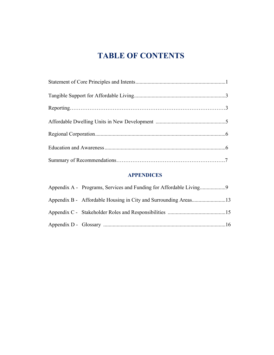# **TABLE OF CONTENTS**

# **APPENDICES**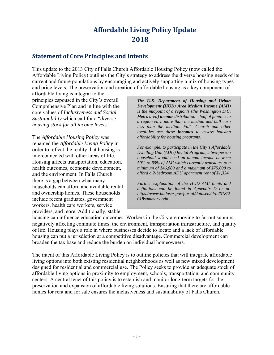# **Affordable Living Policy Update 2018**

### **Statement of Core Principles and Intents**

This update to the 2013 City of Falls Church Affordable Housing Policy (now called the Affordable Living Policy) outlines the City's strategy to address the diverse housing needs of its current and future populations by encouraging and actively supporting a mix of housing types and price levels. The preservation and creation of affordable housing as a key component of

affordable living is integral to the principles espoused in the City's overall Comprehensive Plan and in line with the core values of *Inclusiveness and Social Sustainability* which call for a "*diverse housing stock for all income levels.*"

The *Affordable Housing Policy* was renamed the *Affordable Living Policy* in order to reflect the reality that housing is interconnected with other areas of life. Housing affects transportation, education, health outcomes, economic development, and the environment. In Falls Church, there is a gap between what many households can afford and available rental and ownership homes. These households include recent graduates, government workers, health care workers, service providers, and more. Additionally, stable

*The U.S. Department of Housing and Urban Development (HUD) Area Median Income (AMI) is the midpoint of a region's (the Washington D.C. Metro area) income distribution – half of families in a region earn more than the median and half earn less than the median. Falls Church and other localities use these incomes to assess housing affordability for housing programs.*

*For example, to participate in the City's Affordable Dwelling Unit (ADU) Rental Program, a two-person household would need an annual income between 50% to 80% of AMI which currently translates to a minimum of \$46,880 and a maximum of \$75,008 to afford a 2-bedroom ADU apartment rent of \$1,324.* 

*Further explanation of the HUD AMI limits and definitions can be found in Appendix D or at: https://www.huduser.gov/portal/datasets/il/il2018/2 018summary.odn.* 

housing can influence education outcomes. Workers in the City are moving to far out suburbs negatively affecting commute times, the environment, transportation infrastructure, and quality of life. Housing plays a role in where businesses decide to locate and a lack of affordable housing can put a jurisdiction at a competitive disadvantage. Commercial development can broaden the tax base and reduce the burden on individual homeowners.

The intent of this Affordable Living Policy is to outline policies that will integrate affordable living options into both existing residential neighborhoods as well as new mixed development designed for residential and commercial use. The Policy seeks to provide an adequate stock of affordable living options in proximity to employment, schools, transportation, and community centers. A central tenet of this policy is to establish and monitor long-term targets for the preservation and expansion of affordable living solutions. Ensuring that there are affordable homes for rent and for sale ensures the inclusiveness and sustainability of Falls Church.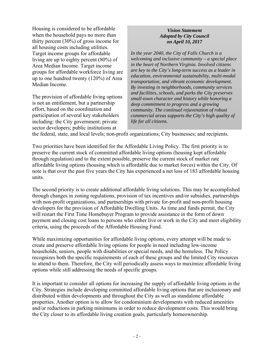Housing is considered to be affordable when the household pays no more than thirty percent (30%) of gross income for all housing costs including utilities. Target income groups for affordable living are up to eighty percent (80%) of Area Median Income. Target income groups for affordable workforce living are up to one hundred twenty (120%) of Area Median Income.

The provision of affordable living options is not an entitlement, but a partnership effort, based on the coordination and participation of several key stakeholders including: the City government; private sector developers; public institutions at

#### *Vision Statement Adopted by City Council on April 10, 2017*

*In the year 2040, the City of Falls Church is a welcoming and inclusive community – a special place in the heart of Northern Virginia. Involved citizens are key to the City's long-term success as a leader in education, environmental sustainability, multi-modal transportation, and vibrant economic development. By investing in neighborhoods, community services and facilities, schools, and parks the City preserves small-town character and history while honoring a deep commitment to progress and a growing community. The continual rejuvenation of robust commercial areas supports the City's high quality of life for all citizens.* 

the federal, state, and local levels; non-profit organizations; City businesses; and recipients.

Two priorities have been identified for the Affordable Living Policy. The first priority is to preserve the current stock of committed affordable living options (housing kept affordable through regulation) and to the extent possible, preserve the current stock of market rate affordable living options (housing which is affordable due to market forces) within the City. Of note is that over the past five years the City has experienced a net loss of 183 affordable housing units.

The second priority is to create additional affordable living solutions. This may be accomplished through changes in zoning regulations, provision of tax incentives and/or subsidies, partnerships with non-profit organizations, and partnerships with private for-profit and non-profit housing developers for the provision of Affordable Dwelling Units. As time and funds permit, the City will restart the First Time Homebuyer Program to provide assistance in the form of down payment and closing cost loans to persons who either live or work in the City and meet eligibility criteria, using the proceeds of the Affordable Housing Fund.

While maximizing opportunities for affordable living options, every attempt will be made to create and preserve affordable living options for people in need including low-income households, seniors, people with disabilities or special needs, and the homeless. The Policy recognizes both the specific requirements of each of these groups and the limited City resources to attend to them. Therefore, the City will periodically assess ways to maximize affordable living options while still addressing the needs of specific groups.

It is important to consider all options for increasing the supply of affordable living options in the City. Strategies include developing committed affordable living options that are inclusionary and distributed within developments and throughout the City as well as standalone affordable properties. Another option is to allow for condominium developments with reduced amenities and/or reductions in parking minimums in order to reduce development costs. This would bring the City closer to its affordable living creation goals, particularly homeownership.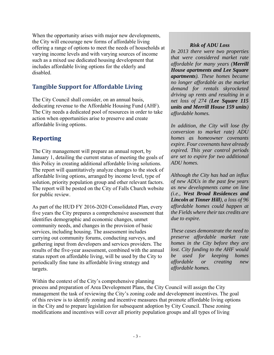When the opportunity arises with major new developments, the City will encourage new forms of affordable living offering a range of options to meet the needs of households at varying income levels and with varying sources of income such as a mixed use dedicated housing development that includes affordable living options for the elderly and disabled.

# **Tangible Support for Affordable Living**

The City Council shall consider, on an annual basis, dedicating revenue to the Affordable Housing Fund (AHF). The City needs a dedicated pool of resources in order to take action when opportunities arise to preserve and create affordable living options.

# **Reporting**

The City management will prepare an annual report, by January 1, detailing the current status of meeting the goals of this Policy in creating additional affordable living solutions. The report will quantitatively analyze changes to the stock of affordable living options, arranged by income level, type of solution, priority population group and other relevant factors. The report will be posted on the City of Falls Church website for public review.

As part of the HUD FY 2016-2020 Consolidated Plan, every five years the City prepares a comprehensive assessment that identifies demographic and economic changes, unmet community needs, and changes in the provision of basic services, including housing. The assessment includes carrying out community forums, conducting surveys, and gathering input from developers and services providers. The results of the five-year assessment, combined with the annual status report on affordable living, will be used by the City to periodically fine tune its affordable living strategy and targets.

Within the context of the City's comprehensive planning

### *Risk of ADU Loss*

*In 2013 there were two properties that were considered market rate affordable for many years (Merrill House apartments and Lee Square apartments). These homes became no longer affordable as the market demand for rentals skyrocketed driving up rents and resulting in a net loss of 274 (Lee Square 115 units and Merrill House 159 units) affordable homes.* 

*In addition, the City will lose (by conversion to market rate) ADU homes as homeowner covenants expire. Four covenants have already expired. This year control periods are set to expire for two additional ADU homes.* 

*Although the City has had an influx of new ADUs in the past few years as new developments came on line (i.e., West Broad Residences and Lincoln at Tinner Hill), a loss of 96 affordable homes could happen at the Fields where their tax credits are due to expire.* 

*These cases demonstrate the need to preserve affordable market rate homes in the City before they are lost. City funding to the AHF would be used for keeping homes affordable or creating new affordable homes.*

process and preparation of Area Development Plans, the City Council will assign the City management the task of reviewing the City's zoning code and development incentives. The goal of this review is to identify zoning and incentive measures that promote affordable living options in the City and to prepare legislation for subsequent adoption by City Council. These zoning modifications and incentives will cover all priority population groups and all types of living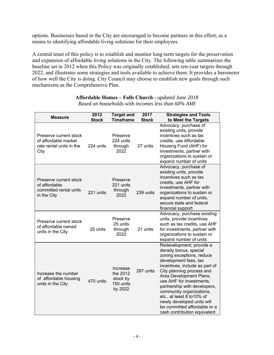options. Businesses based in the City are encouraged to become partners in this effort, as a means to identifying affordable living solutions for their employees.

A central tenet of this policy is to establish and monitor long-term targets for the preservation and expansion of affordable living solutions in the City. The following table summarizes the baseline set in 2012 when this Policy was originally established, sets ten-year targets through 2022, and illustrates some strategies and tools available to achieve them. It provides a barometer of how well the City is doing. City Council may choose to establish new goals through such mechanisms as the Comprehensive Plan.

| Measure                                                                            | 2012<br><b>Stock</b> | <b>Target and</b><br><b>Timeframe</b>                    | 2017<br><b>Stock</b> | <b>Strategies and Tools</b><br>to Meet the Targets                                                                                                                                                                                                                                                                                                                                                                     |
|------------------------------------------------------------------------------------|----------------------|----------------------------------------------------------|----------------------|------------------------------------------------------------------------------------------------------------------------------------------------------------------------------------------------------------------------------------------------------------------------------------------------------------------------------------------------------------------------------------------------------------------------|
| Preserve current stock<br>of affordable market<br>rate rental units in the<br>City | 224 units            | Preserve<br>224 units<br>through<br>2022                 | 27 units             | Advocacy, purchase of<br>existing units, provide<br>incentives such as tax<br>credits, use Affordable<br>Housing Fund (AHF) for<br>investments, partner with<br>organizations to sustain or<br>expand number of units                                                                                                                                                                                                  |
| Preserve current stock<br>of affordable<br>committed rental units<br>in the City   | 221 units            | Preserve<br>221 units<br>through<br>2022                 | 239 units            | Advocacy, purchase of<br>existing units, provide<br>incentives such as tax<br>credits, use AHF for<br>investments, partner with<br>organizations to sustain or<br>expand number of units,<br>secure state and federal<br>financial support                                                                                                                                                                             |
| Preserve current stock<br>of affordable owned<br>units in the City                 | 25 units             | Preserve<br>25 units<br>through<br>2022                  | 21 units             | Advocacy, purchase existing<br>units, provide incentives<br>such as tax credits, use AHF<br>for investments, partner with<br>organizations to sustain or<br>expand number of units                                                                                                                                                                                                                                     |
| Increase the number<br>of affordable housing<br>units in the City                  | 470 units            | Increase<br>the 2012<br>stock by<br>150 units<br>by 2022 | 287 units            | Redevelopment, provide a<br>density bonus, special<br>zoning exceptions, reduce<br>development fees, tax<br>incentives, include as part of<br>City planning process and<br>Area Development Plans,<br>use AHF for investments,<br>partnership with developers,<br>community organizations,<br>etc., at least 8 to 10% of<br>newly developed units will<br>be committed affordable or a<br>cash contribution equivalent |

#### **Affordable Homes – Falls Church -** *updated June 2018 Based on households with incomes less than 60% AMI*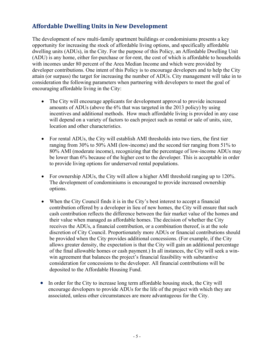# **Affordable Dwelling Units in New Development**

The development of new multi-family apartment buildings or condominiums presents a key opportunity for increasing the stock of affordable living options, and specifically affordable dwelling units (ADUs), in the City. For the purpose of this Policy, an Affordable Dwelling Unit (ADU) is any home, either for-purchase or for-rent, the cost of which is affordable to households with incomes under 80 percent of the Area Median Income and which were provided by developer contributions. One intent of this Policy is to encourage developers and to help the City attain (or surpass) the target for increasing the number of ADUs. City management will take in to consideration the following parameters when partnering with developers to meet the goal of encouraging affordable living in the City:

- The City will encourage applicants for development approval to provide increased amounts of ADUs (above the 6% that was targeted in the 2013 policy) by using incentives and additional methods. How much affordable living is provided in any case will depend on a variety of factors to each project such as rental or sale of units, size, location and other characteristics.
- For rental ADUs, the City will establish AMI thresholds into two tiers, the first tier ranging from 30% to 50% AMI (low-income) and the second tier ranging from 51% to 80% AMI (moderate income), recognizing that the percentage of low-income ADUs may be lower than 6% because of the higher cost to the developer. This is acceptable in order to provide living options for underserved rental populations.
- For ownership ADUs, the City will allow a higher AMI threshold ranging up to 120%. The development of condominiums is encouraged to provide increased ownership options.
- When the City Council finds it is in the City's best interest to accept a financial contribution offered by a developer in lieu of new homes, the City will ensure that such cash contribution reflects the difference between the fair market value of the homes and their value when managed as affordable homes. The decision of whether the City receives the ADUs, a financial contribution, or a combination thereof, is at the sole discretion of City Council. Proportionately more ADUs or financial contributions should be provided when the City provides additional concessions. (For example, if the City allows greater density, the expectation is that the City will gain an additional percentage of the final allowable homes or cash payment.) In all instances, the City will seek a winwin agreement that balances the project's financial feasibility with substantive consideration for concessions to the developer. All financial contributions will be deposited to the Affordable Housing Fund.
- In order for the City to increase long term affordable housing stock, the City will encourage developers to provide ADUs for the life of the project with which they are associated, unless other circumstances are more advantageous for the City.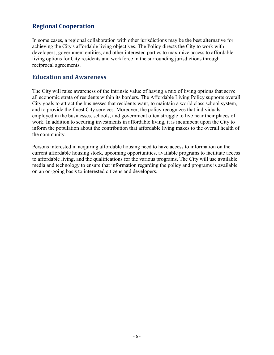## **Regional Cooperation**

In some cases, a regional collaboration with other jurisdictions may be the best alternative for achieving the City's affordable living objectives. The Policy directs the City to work with developers, government entities, and other interested parties to maximize access to affordable living options for City residents and workforce in the surrounding jurisdictions through reciprocal agreements.

### **Education and Awareness**

The City will raise awareness of the intrinsic value of having a mix of living options that serve all economic strata of residents within its borders. The Affordable Living Policy supports overall City goals to attract the businesses that residents want, to maintain a world class school system, and to provide the finest City services. Moreover, the policy recognizes that individuals employed in the businesses, schools, and government often struggle to live near their places of work. In addition to securing investments in affordable living, it is incumbent upon the City to inform the population about the contribution that affordable living makes to the overall health of the community.

Persons interested in acquiring affordable housing need to have access to information on the current affordable housing stock, upcoming opportunities, available programs to facilitate access to affordable living, and the qualifications for the various programs. The City will use available media and technology to ensure that information regarding the policy and programs is available on an on-going basis to interested citizens and developers.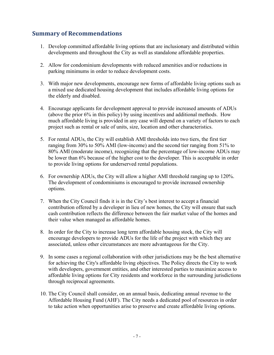# **Summary of Recommendations**

- 1. Develop committed affordable living options that are inclusionary and distributed within developments and throughout the City as well as standalone affordable properties.
- 2. Allow for condominium developments with reduced amenities and/or reductions in parking minimums in order to reduce development costs.
- 3. With major new developments, encourage new forms of affordable living options such as a mixed use dedicated housing development that includes affordable living options for the elderly and disabled.
- 4. Encourage applicants for development approval to provide increased amounts of ADUs (above the prior 6% in this policy) by using incentives and additional methods. How much affordable living is provided in any case will depend on a variety of factors to each project such as rental or sale of units, size, location and other characteristics.
- 5. For rental ADUs, the City will establish AMI thresholds into two tiers, the first tier ranging from 30% to 50% AMI (low-income) and the second tier ranging from 51% to 80% AMI (moderate income), recognizing that the percentage of low-income ADUs may be lower than 6% because of the higher cost to the developer. This is acceptable in order to provide living options for underserved rental populations.
- 6. For ownership ADUs, the City will allow a higher AMI threshold ranging up to 120%. The development of condominiums is encouraged to provide increased ownership options.
- 7. When the City Council finds it is in the City's best interest to accept a financial contribution offered by a developer in lieu of new homes, the City will ensure that such cash contribution reflects the difference between the fair market value of the homes and their value when managed as affordable homes.
- 8. In order for the City to increase long term affordable housing stock, the City will encourage developers to provide ADUs for the life of the project with which they are associated, unless other circumstances are more advantageous for the City.
- 9. In some cases a regional collaboration with other jurisdictions may be the best alternative for achieving the City's affordable living objectives. The Policy directs the City to work with developers, government entities, and other interested parties to maximize access to affordable living options for City residents and workforce in the surrounding jurisdictions through reciprocal agreements.
- 10. The City Council shall consider, on an annual basis, dedicating annual revenue to the Affordable Housing Fund (AHF). The City needs a dedicated pool of resources in order to take action when opportunities arise to preserve and create affordable living options.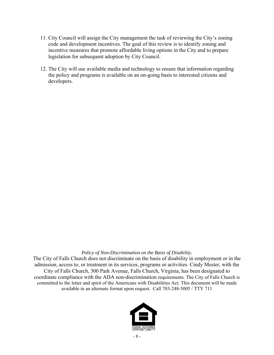- 11. City Council will assign the City management the task of reviewing the City's zoning code and development incentives. The goal of this review is to identify zoning and incentive measures that promote affordable living options in the City and to prepare legislation for subsequent adoption by City Council.
- 12. The City will use available media and technology to ensure that information regarding the policy and programs is available on an on-going basis to interested citizens and developers.

#### *Policy of Non-Discrimination on the Basis of Disability.*

The City of Falls Church does not discriminate on the basis of disability in employment or in the admission, access to, or treatment in its services, programs or activities. Cindy Mester, with the City of Falls Church, 300 Park Avenue, Falls Church, Virginia, has been designated to coordinate compliance with the ADA non-discrimination requirements. The City of Falls Church is committed to the letter and spirit of the Americans with Disabilities Act. This document will be made available in an alternate format upon request. Call 703-248-5005 / TTY 711

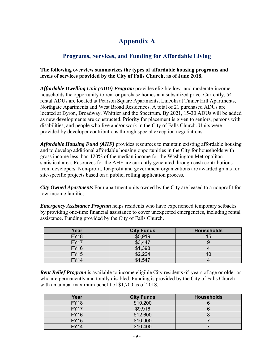# **Appendix A**

# **Programs, Services, and Funding for Affordable Living**

### **The following overview summarizes the types of affordable housing programs and levels of services provided by the City of Falls Church, as of June 2018.**

*Affordable Dwelling Unit (ADU) Program* provides eligible low- and moderate-income households the opportunity to rent or purchase homes at a subsidized price. Currently, 54 rental ADUs are located at Pearson Square Apartments, Lincoln at Tinner Hill Apartments, Northgate Apartments and West Broad Residences. A total of 21 purchased ADUs are located at Byron, Broadway, Whittier and the Spectrum. By 2021, 15-30 ADUs will be added as new developments are constructed. Priority for placement is given to seniors, persons with disabilities, and people who live and/or work in the City of Falls Church. Units were provided by developer contributions through special exception negotiations.

*Affordable Housing Fund (AHF)* provides resources to maintain existing affordable housing and to develop additional affordable housing opportunities in the City for households with gross income less than 120% of the median income for the Washington Metropolitan statistical area. Resources for the AHF are currently generated through cash contributions from developers. Non-profit, for-profit and government organizations are awarded grants for site-specific projects based on a public, rolling application process.

*City Owned Apartments* Four apartment units owned by the City are leased to a nonprofit for low-income families.

*Emergency Assistance Program* helps residents who have experienced temporary setbacks by providing one-time financial assistance to cover unexpected emergencies, including rental assistance. Funding provided by the City of Falls Church.

| Year        | <b>City Funds</b> | <b>Households</b> |
|-------------|-------------------|-------------------|
| <b>FY18</b> | \$5,919           | 15                |
| <b>FY17</b> | \$3,447           |                   |
| <b>FY16</b> | \$1,398           |                   |
| <b>FY15</b> | \$2,224           |                   |
| <b>FY14</b> | \$1,547           |                   |

*Rent Relief Program* is available to income eligible City residents 65 years of age or older or who are permanently and totally disabled. Funding is provided by the City of Falls Church with an annual maximum benefit of \$1,700 as of 2018.

| Year        | <b>City Funds</b> | <b>Households</b> |
|-------------|-------------------|-------------------|
| <b>FY18</b> | \$10,200          |                   |
| <b>FY17</b> | \$9,916           |                   |
| <b>FY16</b> | \$12,600          |                   |
| <b>FY15</b> | \$10,900          |                   |
| <b>FY14</b> | \$10,400          |                   |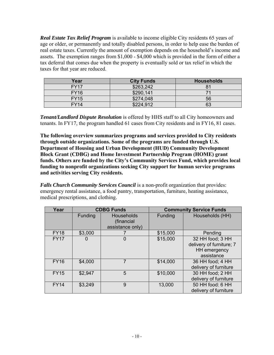*Real Estate Tax Relief Program* is available to income eligible City residents 65 years of age or older, or permanently and totally disabled persons, in order to help ease the burden of real estate taxes. Currently the amount of exemption depends on the household's income and assets. The exemption ranges from \$1,000 - \$4,000 which is provided in the form of either a tax deferral that comes due when the property is eventually sold or tax relief in which the taxes for that year are reduced.

| Year        | <b>City Funds</b> | <b>Households</b> |
|-------------|-------------------|-------------------|
| <b>FY17</b> | \$263,242         |                   |
| <b>FY16</b> | \$290,141         |                   |
| <b>FY15</b> | \$274,048         | 56                |
| <b>FY14</b> | \$224,912         | 63                |

*Tenant/Landlord Dispute Resolution* is offered by HHS staff to all City homeowners and tenants. In FY17, the program handled 61 cases from City residents and in FY16, 81 cases.

**The following overview summarizes programs and services provided to City residents through outside organizations. Some of the programs are funded through U.S. Department of Housing and Urban Development (HUD) Community Development Block Grant (CDBG) and Home Investment Partnership Program (HOME) grant funds. Others are funded by the City's Community Services Fund, which provides local funding to nonprofit organizations seeking City support for human service programs and activities serving City residents.** 

*Falls Church Community Services Council* is a non-profit organization that provides: emergency rental assistance, a food pantry, transportation, furniture, heating assistance, medical prescriptions, and clothing.

| Year        |         | <b>CDBG Funds</b>                            | <b>Community Service Funds</b> |                                                                            |  |
|-------------|---------|----------------------------------------------|--------------------------------|----------------------------------------------------------------------------|--|
|             | Funding | Households<br>(financial<br>assistance only) | Funding                        | Households (HH)                                                            |  |
| <b>FY18</b> | \$3,000 |                                              | \$15,000                       | Pending                                                                    |  |
| <b>FY17</b> | O       | $\Omega$                                     | \$15,000                       | 32 HH food; 3 HH<br>delivery of furniture; 7<br>HH emergency<br>assistance |  |
| <b>FY16</b> | \$4,000 | 7                                            | \$14,000                       | 36 HH food; 4 HH<br>delivery of furniture                                  |  |
| <b>FY15</b> | \$2,947 | 5                                            | \$10,000                       | 30 HH food; 2 HH<br>delivery of furniture                                  |  |
| <b>FY14</b> | \$3,249 | 9                                            | 13,000                         | 50 HH food: 6 HH<br>delivery of furniture                                  |  |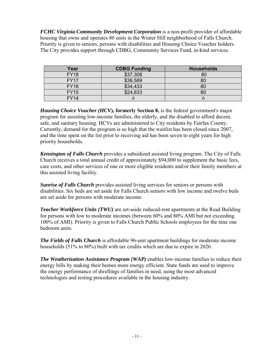*FCHC Virginia Community Development Corporation* is a non-profit provider of affordable housing that owns and operates 80 units in the Winter Hill neighborhood of Falls Church. Priority is given to seniors, persons with disabilities and Housing Choice Voucher holders. The City provides support through CDBG, Community Services Fund, in-kind services.

| Year        | <b>CDBG Funding</b> | <b>Households</b> |
|-------------|---------------------|-------------------|
| <b>FY18</b> | \$37,308            | 80                |
| <b>FY17</b> | \$36,589            | 80                |
| <b>FY16</b> | \$34,433            | 80                |
| <b>FY15</b> | \$24,633            | 80                |
| <b>FY14</b> |                     |                   |

*Housing Choice Voucher (HCV***), formerly Section 8,** is the federal government's major program for assisting low-income families, the elderly, and the disabled to afford decent, safe, and sanitary housing. HCVs are administered to City residents by Fairfax County. Currently, demand for the program is so high that the waitlist has been closed since 2007, and the time spent on the list prior to receiving aid has been seven to eight years for high priority households.

*Kensington of Falls Church* provides a subsidized assisted living program. The City of Falls Church receives a total annual credit of approximately \$94,000 to supplement the basic fees, care costs, and other services of one or more eligible residents and/or their family members at this assisted living facility.

*Sunrise of Falls Church* provides assisted living services for seniors or persons with disabilities. Six beds are set aside for Falls Church seniors with low income and twelve beds are set aside for persons with moderate income.

*Teacher Workforce Units (TWU)* are set-aside reduced-rent apartments at the Read Building for persons with low to moderate incomes (between 60% and 80% AMI but not exceeding 100% of AMI). Priority is given to Falls Church Public Schools employees for the nine one bedroom units.

*The Fields of Falls Church* is affordable 96-unit apartment buildings for moderate income households (51% to 80%) built with tax credits which are due to expire in 2026.

*The Weatherization Assistance Program (WAP)* enables low-income families to reduce their energy bills by making their homes more energy efficient. State funds are used to improve the energy performance of dwellings of families in need, using the most advanced technologies and testing procedures available in the housing industry.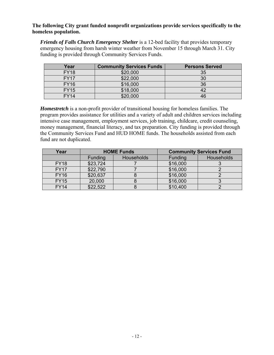**The following City grant funded nonprofit organizations provide services specifically to the homeless population.**

*Friends of Falls Church Emergency Shelter* is a 12-bed facility that provides temporary emergency housing from harsh winter weather from November 15 through March 31. City funding is provided through Community Services Funds.

| Year        | <b>Community Services Funds</b> | <b>Persons Served</b> |
|-------------|---------------------------------|-----------------------|
| <b>FY18</b> | \$20,000                        | 35                    |
| <b>FY17</b> | \$22,000                        | 30                    |
| <b>FY16</b> | \$16,000                        | 36                    |
| <b>FY15</b> | \$18,000                        |                       |
| <b>FY14</b> | \$20,000                        | 46                    |

*Homestretch* is a non-profit provider of transitional housing for homeless families. The program provides assistance for utilities and a variety of adult and children services including intensive case management, employment services, job training, childcare, credit counseling, money management, financial literacy, and tax preparation. City funding is provided through the Community Services Fund and HUD HOME funds. The households assisted from each fund are not duplicated.

| Year        | <b>HOME Funds</b> |                   |          | <b>Community Services Fund</b> |
|-------------|-------------------|-------------------|----------|--------------------------------|
|             | <b>Funding</b>    | <b>Households</b> | Funding  | Households                     |
| <b>FY18</b> | \$23,724          |                   | \$16,000 |                                |
| <b>FY17</b> | \$22,790          |                   | \$16,000 |                                |
| <b>FY16</b> | \$20,637          |                   | \$16,000 |                                |
| <b>FY15</b> | 20,000            |                   | \$16,000 |                                |
| <b>FY14</b> | \$22,522          |                   | \$10,400 |                                |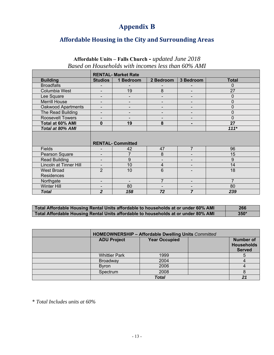# **Appendix B**

### **Affordable Housing in the City and Surrounding Areas**

### **Affordable Units – Falls Church -** *updated June 2018 Based on Households with incomes less than 60% AMI*

|                               | <b>RENTAL- Market Rate</b> |                          |                          |                          |                |
|-------------------------------|----------------------------|--------------------------|--------------------------|--------------------------|----------------|
| <b>Building</b>               | <b>Studios</b>             | 1 Bedroom                | 2 Bedroom                | 3 Bedroom                | <b>Total</b>   |
| <b>Broadfalls</b>             |                            |                          |                          |                          | $\Omega$       |
| Columbia West                 |                            | 19                       | 8                        |                          | 27             |
| Lee Square                    |                            |                          | $\overline{\phantom{0}}$ |                          | 0              |
| <b>Merrill House</b>          | $\overline{\phantom{a}}$   | -                        | $\overline{\phantom{a}}$ | $\overline{\phantom{a}}$ | $\mathbf{0}$   |
| <b>Oakwood Apartments</b>     |                            |                          |                          |                          | 0              |
| The Read Building             |                            |                          |                          |                          | $\overline{0}$ |
| <b>Roosevelt Towers</b>       | $\overline{\phantom{a}}$   |                          | $\overline{\phantom{a}}$ | $\overline{\phantom{a}}$ | $\Omega$       |
| Total at 60% AMI              | 0                          | 19                       | 8                        | $\blacksquare$           | 27             |
| <b>Total at 80% AMI</b>       |                            |                          |                          |                          | $111*$         |
|                               |                            | <b>RENTAL- Committed</b> |                          |                          |                |
| <b>Fields</b>                 |                            | 42                       | 47                       | $\overline{7}$           | 96             |
| Pearson Square                | $\blacksquare$             | 7                        | 8                        | $\overline{\phantom{a}}$ | 15             |
| <b>Read Building</b>          | $\blacksquare$             | 9                        |                          |                          | 9              |
| <b>Lincoln at Tinner Hill</b> | $\blacksquare$             | 10                       | 4                        |                          | 14             |
| <b>West Broad</b>             | $\overline{2}$             | 10                       | 6                        |                          | 18             |
| <b>Residences</b>             |                            |                          |                          |                          |                |
| Northgate                     | $\blacksquare$             |                          | $\overline{7}$           |                          | $\overline{7}$ |
| <b>Winter Hill</b>            |                            | 80                       |                          |                          | 80             |
| <b>Total</b>                  | $\overline{2}$             | 158                      | 72                       | 7                        | 239            |

**Total Affordable Housing Rental Units affordable to households at or under 60% AMI 266 Total Affordable Housing Rental Units affordable to households at or under 80% AMI 350\*** 

| HOMEOWNERSHIP - Affordable Dwelling Units Committed |                      |                                                        |
|-----------------------------------------------------|----------------------|--------------------------------------------------------|
| <b>ADU Project</b>                                  | <b>Year Occupied</b> | <b>Number of</b><br><b>Households</b><br><b>Served</b> |
| <b>Whittier Park</b>                                | 1999                 |                                                        |
| Broadway                                            | 2004                 |                                                        |
| <b>Byron</b>                                        | 2006                 |                                                        |
| Spectrum                                            | 2008                 |                                                        |
|                                                     | <b>Total</b>         |                                                        |

\* *Total Includes units at 60%*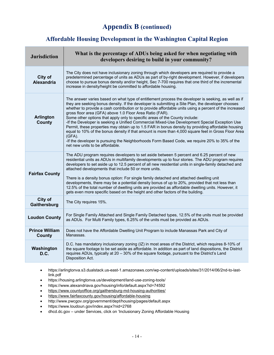# **Appendix B (continued)**

### **Affordable Housing Development in the Washington Capital Region**

| <b>Jurisdiction</b>             | What is the percentage of ADUs being asked for when negotiating with<br>developers desiring to build in your community?                                                                                                                                                                                                                                                                                                                                                                                                                                                                                                                                                                                                                                                                                                                                                                                                      |
|---------------------------------|------------------------------------------------------------------------------------------------------------------------------------------------------------------------------------------------------------------------------------------------------------------------------------------------------------------------------------------------------------------------------------------------------------------------------------------------------------------------------------------------------------------------------------------------------------------------------------------------------------------------------------------------------------------------------------------------------------------------------------------------------------------------------------------------------------------------------------------------------------------------------------------------------------------------------|
| City of<br><b>Alexandria</b>    | The City does not have inclusionary zoning through which developers are required to provide a<br>predetermined percentage of units as ADUs as part of by-right development. However, if developers<br>choose to pursue bonus density and/or height, Sec 7-700 requires that one third of the incremental<br>increase in density/height be committed to affordable housing.                                                                                                                                                                                                                                                                                                                                                                                                                                                                                                                                                   |
| <b>Arlington</b><br>County      | The answer varies based on what type of entitlement process the developer is seeking, as well as if<br>they are seeking bonus density. If the developer is submitting a Site Plan, the developer chooses<br>whether to provide a cash contribution or to provide affordable units using a percent of the increased<br>gross floor area (GFA) above 1.0 Floor Area Ratio (FAR).<br>Some other options that apply only to specific areas of the County include:<br>-If the Developer is seeking a Unified Commercial Mixed-Use Development Special Exception Use<br>Permit, these properties may obtain up to 1.5 FAR in bonus density by providing affordable housing<br>equal to 10% of the bonus density if that amount is more than 4,000 square feet in Gross Floor Area<br>$(GFA)$ .<br>-If the developer is pursuing the Neighborhoods Form Based Code, we require 20% to 35% of the<br>net new units to be affordable. |
| <b>Fairfax County</b>           | The ADU program requires developers to set aside between 5 percent and 6.25 percent of new<br>residential units as ADUs in multifamily developments up to four stories. The ADU program requires<br>developers to set aside up to 12.5 percent of all new residential units in single-family detached and<br>attached developments that include 50 or more units.<br>There is a density bonus option: For single family detached and attached dwelling unit<br>developments, there may be a potential density bonus of up to 20%, provided that not less than<br>12.5% of the total number of dwelling units are provided as affordable dwelling units. However, it<br>gets even more specific based on the height and other factors of the building.                                                                                                                                                                        |
| City of<br>Gaithersburg         | The City requires 15%.                                                                                                                                                                                                                                                                                                                                                                                                                                                                                                                                                                                                                                                                                                                                                                                                                                                                                                       |
| <b>Loudon County</b>            | For Single Family Attached and Single Family Detached types, 12.5% of the units must be provided<br>as ADUs. For Multi Family types, 6.25% of the units must be provided as ADUs.                                                                                                                                                                                                                                                                                                                                                                                                                                                                                                                                                                                                                                                                                                                                            |
| <b>Prince William</b><br>County | Does not have the Affordable Dwelling Unit Program to include Manassas Park and City of<br>Manassas.                                                                                                                                                                                                                                                                                                                                                                                                                                                                                                                                                                                                                                                                                                                                                                                                                         |
| Washington<br>D.C.              | D.C. has mandatory inclusionary zoning (IZ) in most areas of the District, which requires 8-10% of<br>the square footage to be set aside as affordable. In addition as part of land dispositions, the District<br>requires ADUs, typically at 20 - 30% of the square footage, pursuant to the District's Land<br>Disposition Act.                                                                                                                                                                                                                                                                                                                                                                                                                                                                                                                                                                                            |

- https://arlingtonva.s3.dualstack.us-east-1.amazonaws.com/wp-content/uploads/sites/31/2014/06/2nd-to-lastlink.pdf
- https://housing.arlingtonva.us/development/land-use-zoning-tools/
- https://www.alexandriava.gov/housing/info/default.aspx?id=74592
- https://www.countyoffice.org/gaithersburg-md-housing-authorities/
- https://www.fairfaxcounty.gov/housing/affordable-housing
- http://www.pwcgov.org/government/dept/housing/pages/default.aspx
- https://www.loudoun.gov/index.aspx?nid=2768
- dhcd.dc.gov under Services, click on 'Inclusionary Zoning Affordable Housing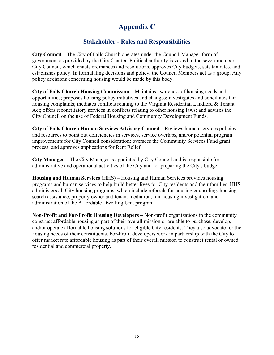# **Appendix C**

# **Stakeholder - Roles and Responsibilities**

**City Council –** The City of Falls Church operates under the Council-Manager form of government as provided by the City Charter. Political authority is vested in the seven-member City Council, which enacts ordinances and resolutions, approves City budgets, sets tax rates, and establishes policy. In formulating decisions and policy, the Council Members act as a group. Any policy decisions concerning housing would be made by this body.

**City of Falls Church Housing Commission –** Maintains awareness of housing needs and opportunities; proposes housing policy initiatives and changes; investigates and conciliates fair housing complaints; mediates conflicts relating to the Virginia Residential Landlord & Tenant Act; offers reconciliatory services in conflicts relating to other housing laws; and advises the City Council on the use of Federal Housing and Community Development Funds.

**City of Falls Church Human Services Advisory Council –** Reviews human services policies and resources to point out deficiencies in services, service overlaps, and/or potential program improvements for City Council consideration; oversees the Community Services Fund grant process; and approves applications for Rent Relief.

**City Manager –** The City Manager is appointed by City Council and is responsible for administrative and operational activities of the City and for preparing the City's budget.

**Housing and Human Services (**HHS) **–** Housing and Human Services provides housing programs and human services to help build better lives for City residents and their families. HHS administers all City housing programs, which include referrals for housing counseling, housing search assistance, property owner and tenant mediation, fair housing investigation, and administration of the Affordable Dwelling Unit program.

**Non-Profit and For-Profit Housing Developers –** Non-profit organizations in the community construct affordable housing as part of their overall mission or are able to purchase, develop, and/or operate affordable housing solutions for eligible City residents. They also advocate for the housing needs of their constituents. For-Profit developers work in partnership with the City to offer market rate affordable housing as part of their overall mission to construct rental or owned residential and commercial property.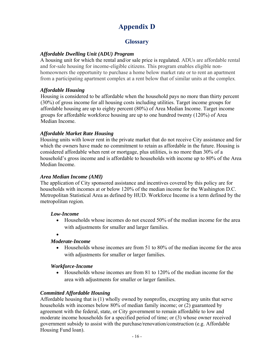# **Appendix D**

# **Glossary**

### *Affordable Dwelling Unit (ADU) Program*

A housing unit for which the rental and/or sale price is regulated. ADUs are affordable rental and for-sale housing for income-eligible citizens. This program enables eligible nonhomeowners the opportunity to purchase a home below market rate or to rent an apartment from a participating apartment complex at a rent below that of similar units at the complex.

### *Affordable Housing*

Housing is considered to be affordable when the household pays no more than thirty percent (30%) of gross income for all housing costs including utilities. Target income groups for affordable housing are up to eighty percent (80%) of Area Median Income. Target income groups for affordable workforce housing are up to one hundred twenty (120%) of Area Median Income.

### *Affordable Market Rate Housing*

Housing units with lower rent in the private market that do not receive City assistance and for which the owners have made no commitment to retain as affordable in the future. Housing is considered affordable when rent or mortgage, plus utilities, is no more than 30% of a household's gross income and is affordable to households with income up to 80% of the Area Median Income.

### *Area Median Income (AMI)*

The application of City sponsored assistance and incentives covered by this policy are for households with incomes at or below 120% of the median income for the Washington D.C. Metropolitan Statistical Area as defined by HUD. Workforce Income is a term defined by the metropolitan region.

### *Low-Income*

- Households whose incomes do not exceed 50% of the median income for the area with adjustments for smaller and larger families.
- $\bullet$

### *Moderate-Income*

 Households whose incomes are from 51 to 80% of the median income for the area with adjustments for smaller or larger families.

### *Workforce-Income*

 Households whose incomes are from 81 to 120% of the median income for the area with adjustments for smaller or larger families.

### *Committed Affordable Housing*

Affordable housing that is (1) wholly owned by nonprofits, excepting any units that serve households with incomes below 80% of median family income; or (2) guaranteed by agreement with the federal, state, or City government to remain affordable to low and moderate income households for a specified period of time; or (3) whose owner received government subsidy to assist with the purchase/renovation/construction (e.g. Affordable Housing Fund loan).